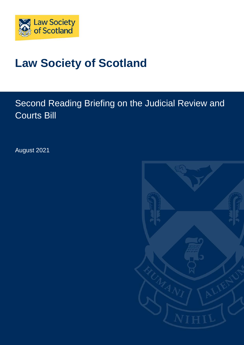

# **Law Society of Scotland**

# Second Reading Briefing on the Judicial Review and Courts Bill

August 2021

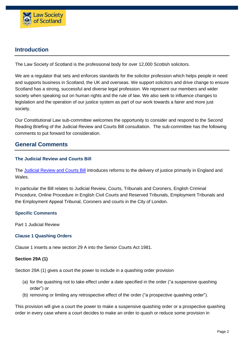

## **Introduction**

The Law Society of Scotland is the professional body for over 12,000 Scottish solicitors.

We are a regulator that sets and enforces standards for the solicitor profession which helps people in need and supports business in Scotland, the UK and overseas. We support solicitors and drive change to ensure Scotland has a strong, successful and diverse legal profession. We represent our members and wider society when speaking out on human rights and the rule of law. We also seek to influence changes to legislation and the operation of our justice system as part of our work towards a fairer and more just society.

Our Constitutional Law sub-committee welcomes the opportunity to consider and respond to the Second Reading Briefing of the Judicial Review and Courts Bill consultation. The sub-committee has the following comments to put forward for consideration.

### **General Comments**

#### **The Judicial Review and Courts Bill**

The [Judicial](https://publications.parliament.uk/pa/bills/cbill/58-02/0152/210152.pdf) Review and Courts Bill introduces reforms to the delivery of justice primarily in England and Wales.

In particular the Bill relates to Judicial Review, Courts, Tribunals and Coroners, English Criminal Procedure, Online Procedure in English Civil Courts and Reserved Tribunals, Employment Tribunals and the Employment Appeal Tribunal, Coroners and courts in the City of London.

#### **Specific Comments**

Part 1 Judicial Review

#### **Clause 1 Quashing Orders**

Clause 1 inserts a new section 29 A into the Senior Courts Act 1981.

#### **Section 29A (1)**

Section 29A (1) gives a court the power to include in a quashing order provision

- (a) for the quashing not to take effect under a date specified in the order ("a suspensive quashing order") or
- (b) removing or limiting any retrospective effect of the order ("a prospective quashing order").

This provision will give a court the power to make a suspensive quashing order or a prospective quashing order in every case where a court decides to make an order to quash or reduce some provision in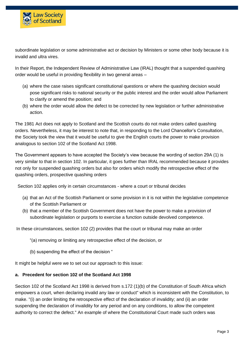

subordinate legislation or some administrative act or decision by Ministers or some other body because it is invalid and ultra vires.

In their Report, the Independent Review of Administrative Law (IRAL) thought that a suspended quashing order would be useful in providing flexibility in two general areas –

- (a) where the case raises significant constitutional questions or where the quashing decision would pose significant risks to national security or the public interest and the order would allow Parliament to clarify or amend the position; and
- (b) where the order would allow the defect to be corrected by new legislation or further administrative action.

The 1981 Act does not apply to Scotland and the Scottish courts do not make orders called quashing orders. Nevertheless, it may be interest to note that, in responding to the Lord Chancellor's Consultation, the Society took the view that it would be useful to give the English courts the power to make provision analogous to section 102 of the Scotland Act 1998.

The Government appears to have accepted the Society's view because the wording of section 29A (1) is very similar to that in section 102. In particular, it goes further than IRAL recommended because it provides not only for suspended quashing orders but also for orders which modify the retrospective effect of the quashing orders, prospective quashing orders

Section 102 applies only in certain circumstances - where a court or tribunal decides

- (a) that an Act of the Scottish Parliament or some provision in it is not within the legislative competence of the Scottish Parliament or
- (b) that a member of the Scottish Government does not have the power to make a provision of subordinate legislation or purports to exercise a function outside devolved competence.

In these circumstances, section 102 (2) provides that the court or tribunal may make an order

"(a) removing or limiting any retrospective effect of the decision, or

(b) suspending the effect of the decision "

It might be helpful were we to set out our approach to this issue:

#### **a. Precedent for section 102 of the Scotland Act 1998**

Section 102 of the Scotland Act 1998 is derived from s.172 (1)(b) of the Constitution of South Africa which empowers a court, when declaring invalid any law or conduct" which is inconsistent with the Constitution, to make. "(i) an order limiting the retrospective effect of the declaration of invalidity; and (ii) an order suspending the declaration of invalidity for any period and on any conditions, to allow the competent authority to correct the defect." An example of where the Constitutional Court made such orders was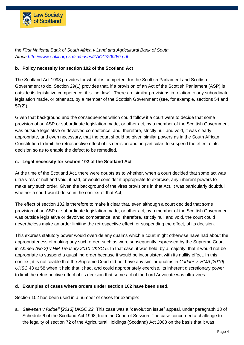

the *First National Bank of South Africa v Land and Agricultural Bank of South Africa <http://www.saflii.org.za/za/cases/ZACC/2000/9.pdf>*

#### **b. Policy necessity for section 102 of the Scotland Act**

The Scotland Act 1998 provides for what it is competent for the Scottish Parliament and Scottish Government to do. Section 29(1) provides that, if a provision of an Act of the Scottish Parliament (ASP) is outside its legislative competence, it is "not law". There are similar provisions in relation to any subordinate legislation made, or other act, by a member of the Scottish Government (see, for example, sections 54 and 57(2)).

Given that background and the consequences which could follow if a court were to decide that some provision of an ASP or subordinate legislation made, or other act, by a member of the Scottish Government was outside legislative or devolved competence, and, therefore, strictly null and void, it was clearly appropriate, and even necessary, that the court should be given similar powers as in the South African Constitution to limit the retrospective effect of its decision and, in particular, to suspend the effect of its decision so as to enable the defect to be remedied.

#### **c. Legal necessity for section 102 of the Scotland Act**

At the time of the Scotland Act, there were doubts as to whether, when a court decided that some act was ultra vires or null and void, it had, or would consider it appropriate to exercise, any inherent powers to make any such order. Given the background of the vires provisions in that Act, it was particularly doubtful whether a court would do so in the context of that Act,

The effect of section 102 is therefore to make it clear that, even although a court decided that some provision of an ASP or subordinate legislation made, or other act, by a member of the Scottish Government was outside legislative or devolved competence, and, therefore, strictly null and void, the court could nevertheless make an order limiting the retrospective effect, or suspending the effect, of its decision.

This express statutory power would override any qualms which a court might otherwise have had about the appropriateness of making any such order, such as were subsequently expressed by the Supreme Court in *Ahmed (No 2) v HM Treasury 2010 UKSC 5*. In that case, it was held, by a majority, that it would not be appropriate to suspend a quashing order because it would be inconsistent with its nullity effect. In this context, it is noticeable that the Supreme Court did not have any similar qualms in *Cadder v. HMA [2010] UKSC* 43 at 58 when it held that it had, and could appropriately exercise, its inherent discretionary power to limit the retrospective effect of its decision that some act of the Lord Advocate was ultra vires.

#### **d. Examples of cases where orders under section 102 have been used.**

Section 102 has been used in a number of cases for example:

a. *Salvesen v Riddell [2013] UKSC 22.* This case was a "devolution issue" appeal, under paragraph 13 of Schedule 6 of the Scotland Act 1998, from the Court of Session. The case concerned a challenge to the legality of section 72 of the Agricultural Holdings (Scotland) Act 2003 on the basis that it was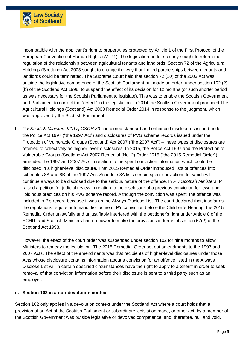

incompatible with the applicant's right to property, as protected by Article 1 of the First Protocol of the European Convention of Human Rights (A1 P1). The legislation under scrutiny sought to reform the regulation of the relationship between agricultural tenants and landlords. Section 72 of the Agricultural Holdings (Scotland) Act 2003 sought to change the way that limited partnerships between tenants and landlords could be terminated. The Supreme Court held that section 72 (10) of the 2003 Act was outside the legislative competence of the Scottish Parliament but made an order, under section 102 (2) (b) of the Scotland Act 1998, to suspend the effect of its decision for 12 months (or such shorter period as was necessary for the Scottish Parliament to legislate). This was to enable the Scottish Government and Parliament to correct the "defect" in the legislation. In 2014 the Scottish Government produced The Agricultural Holdings (Scotland) Act 2003 Remedial Order 2014 in response to the judgment, which was approved by the Scottish Parliament.

b. *P v Scottish Ministers [2017] CSOH 33* concerned standard and enhanced disclosures issued under the Police Act 1997 ("the 1997 Act") and disclosures of PVG scheme records issued under the Protection of Vulnerable Groups (Scotland) Act 2007 ("the 2007 Act") – these types of disclosures are referred to collectively as 'higher level' disclosures. In 2015, the Police Act 1997 and the Protection of Vulnerable Groups (Scotland)Act 2007 Remedial (No. 2) Order 2015 ("the 2015 Remedial Order") amended the 1997 and 2007 Acts in relation to the spent conviction information which could be disclosed in a higher-level disclosure. That 2015 Remedial Order introduced lists of offences into schedules 8A and 8B of the 1997 Act. Schedule 8A lists certain spent convictions for which will continue always to be disclosed due to the serious nature of the offence. In *P v Scottish Ministers*, P raised a petition for judicial review in relation to the disclosure of a previous conviction for lewd and libidinous practices on his PVG scheme record. Although the conviction was spent, the offence was included in P's record because it was on the Always Disclose List. The court declared that, insofar as the regulations require automatic disclosure of P's conviction before the Children's Hearing, the 2015 Remedial Order unlawfully and unjustifiably interfered with the petitioner's right under Article 8 of the ECHR, and Scottish Ministers had no power to make the provisions in terms of section 57(2) of the Scotland Act 1998.

However, the effect of the court order was suspended under section 102 for nine months to allow Ministers to remedy the legislation. The 2018 Remedial Order set out amendments to the 1997 and 2007 Acts. The effect of the amendments was that recipients of higher-level disclosures under those Acts whose disclosure contains information about a conviction for an offence listed in the Always Disclose List will in certain specified circumstances have the right to apply to a Sheriff in order to seek removal of that conviction information before their disclosure is sent to a third party such as an employer.

#### **e. Section 102 in a non-devolution context**

Section 102 only applies in a devolution context under the Scotland Act where a court holds that a provision of an Act of the Scottish Parliament or subordinate legislation made, or other act, by a member of the Scottish Government was outside legislative or devolved competence, and, therefore, null and void.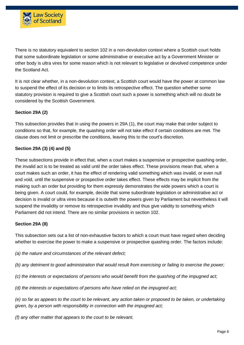

There is no statutory equivalent to section 102 in a non-devolution context where a Scottish court holds that some subordinate legislation or some administrative or executive act by a Government Minister or other body is ultra vires for some reason which is not relevant to legislative or devolved competence under the Scotland Act.

It is not clear whether, in a non-devolution context, a Scottish court would have the power at common law to suspend the effect of its decision or to limits its retrospective effect. The question whether some statutory provision is required to give a Scottish court such a power is something which will no doubt be considered by the Scottish Government.

#### **Section 29A (2)**

This subsection provides that in using the powers in 29A (1), the court may make that order subject to conditions so that, for example, the quashing order will not take effect if certain conditions are met. The clause does not limit or prescribe the conditions, leaving this to the court's discretion.

#### **Section 29A (3) (4) and (5)**

These subsections provide in effect that, when a court makes a suspensive or prospective quashing order, the invalid act is to be treated as valid until the order takes effect. These provisions mean that, when a court makes such an order, it has the effect of rendering valid something which was invalid, or even null and void, until the suspensive or prospective order takes effect. These effects may be implicit from the making such an order but providing for them expressly demonstrates the wide powers which a court is being given. A court could, for example, decide that some subordinate legislation or administrative act or decision is invalid or ultra vires because it is outwith the powers given by Parliament but nevertheless it will suspend the invalidity or remove its retrospective invalidity and thus give validity to something which Parliament did not intend. There are no similar provisions in section 102.

#### **Section 29A (8)**

This subsection sets out a list of non-exhaustive factors to which a court must have regard when deciding whether to exercise the power to make a suspensive or prospective quashing order. The factors include:

*(a) the nature and circumstances of the relevant defect;*

(b) any detriment to good administration that would result from exercising or failing to exercise the power;

*(c) the interests or expectations of persons who would benefit from the quashing of the impugned act;*

*(d) the interests or expectations of persons who have relied on the impugned act;*

(e) so far as appears to the court to be relevant, any action taken or proposed to be taken, or undertaking *given, by a person with responsibility in connection with the impugned act;*

*(f) any other matter that appears to the court to be relevant.*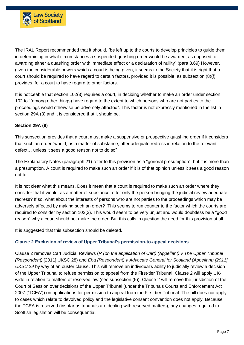

The IRAL Report recommended that it should. "be left up to the courts to develop principles to guide them in determining in what circumstances a suspended quashing order would be awarded, as opposed to awarding either a quashing order with immediate effect or a declaration of nullity" (para 3.69) However, given the considerable powers which a court is being given, it seems to the Society that it is right that a court should be required to have regard to certain factors, provided it is possible, as subsection (8)(f) provides, for a court to have regard to other factors.

It is noticeable that section 102(3) requires a court, in deciding whether to make an order under section 102 to "(among other things) have regard to the extent to which persons who are not parties to the proceedings would otherwise be adversely affected". This factor is not expressly mentioned in the list in section 29A (8) and it is considered that it should be.

#### **Section 29A (9)**

This subsection provides that a court must make a suspensive or prospective quashing order if it considers that such an order "would, as a matter of substance, offer adequate redress in relation to the relevant defect… unless it sees a good reason not to do so"

The Explanatory Notes (paragraph 21) refer to this provision as a "general presumption", but it is more than a presumption. A court is required to make such an order if it is of that opinion unless it sees a good reason not to.

It is not clear what this means. Does it mean that a court is required to make such an order where they consider that it would, as a matter of substance, offer only the person bringing the judicial review adequate redress? If so, what about the interests of persons who are not parties to the proceedings which may be adversely affected by making such an order? This seems to run counter to the factor which the courts are required to consider by section 102(3). This would seem to be very unjust and would doubtless be a "good reason" why a court should not make the order. But this calls in question the need for this provision at all.

It is suggested that this subsection should be deleted.

#### **Clause 2 Exclusion of review of Upper Tribunal's permission-to-appeal decisions**

Clause 2 removes Cart Judicial Reviews (*R (on the application of Cart) (Appellant) v The Upper Tribunal (Respondent)* [2011] UKSC 28) and *Eba (Respondent) v Advocate General for Scotland (Appellant) [2011] UKSC 29* by way of an ouster clause. This will remove an individual's ability to judicially review a decision of the Upper Tribunal to refuse permission to appeal from the First-tier Tribunal. Clause 2 will apply UKwide in relation to matters of reserved law (see subsection (5)). Clause 2 will remove the jurisdiction of the Court of Session over decisions of the Upper Tribunal (under the Tribunals Courts and Enforcement Act 2007 ('TCEA')) on applications for permission to appeal from the First-tier Tribunal. The bill does not apply to cases which relate to devolved policy and the legislative consent convention does not apply. Because the TCEA is reserved (insofar as tribunals are dealing with reserved matters), any changes required to Scottish legislation will be consequential.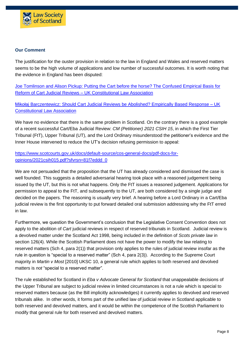

#### **Our Comment**

The justification for the ouster provision in relation to the law in England and Wales and reserved matters seems to be the high volume of applications and low number of successful outcomes. It is worth noting that the evidence in England has been disputed:

Joe [Tomlinson](https://ukconstitutionallaw.org/2021/03/29/joe-tomlinson-and-alison-pickup-putting-the-cart-before-the-horse-the-confused-empirical-basis-for-reform-of-cart-judicial-reviews/) and Alison Pickup: Putting the Cart before the horse? The Confused Empirical Basis for Reform of Cart Judicial Reviews – UK [Constitutional](https://ukconstitutionallaw.org/2021/03/29/joe-tomlinson-and-alison-pickup-putting-the-cart-before-the-horse-the-confused-empirical-basis-for-reform-of-cart-judicial-reviews/) Law Association

Mikołaj [Barczentewicz:](https://ukconstitutionallaw.org/2021/05/05/mikolaj-barczentewicz-should-cart-judicial-reviews-be-abolished-empirically-based-response/) Should Cart Judicial Reviews be Abolished? Empirically Based Response – UK [Constitutional](https://ukconstitutionallaw.org/2021/05/05/mikolaj-barczentewicz-should-cart-judicial-reviews-be-abolished-empirically-based-response/) Law Association

We have no evidence that there is the same problem in Scotland. On the contrary there is a good example of a recent successful Cart/Eba Judicial Review: *CM (Petitioner) 2021 CSIH 15*, in which the First Tier Tribunal (FtT), Upper Tribunal (UT), and the Lord Ordinary misunderstood the petitioner's evidence and the Inner House intervened to reduce the UT's decision refusing permission to appeal:

[https://www.scotcourts.gov.uk/docs/default-source/cos-general-docs/pdf-docs-for](https://www.scotcourts.gov.uk/docs/default-source/cos-general-docs/pdf-docs-for-opinions/2021csih015.pdf?sfvrsn=81f7eddd_0)[opinions/2021csih015.pdf?sfvrsn=81f7eddd\\_0](https://www.scotcourts.gov.uk/docs/default-source/cos-general-docs/pdf-docs-for-opinions/2021csih015.pdf?sfvrsn=81f7eddd_0)

We are not persuaded that the proposition that the UT has already considered and dismissed the case is well founded. This suggests a detailed adversarial hearing took place with a reasoned judgement being issued by the UT, but this is not what happens. Only the FtT issues a reasoned judgement. Applications for permission to appeal to the FtT, and subsequently to the UT, are both considered by a single judge and decided on the papers. The reasoning is usually very brief. A hearing before a Lord Ordinary in a Cart/Eba judicial review is the first opportunity to put forward detailed oral submission addressing why the FtT erred in law.

Furthermore, we question the Government's conclusion that the Legislative Consent Convention does not apply to the abolition of *Cart* judicial reviews in respect of reserved tribunals in Scotland. Judicial review is a devolved matter under the Scotland Act 1998, being included in the definition of *Scots private law* in section 126(4). While the Scottish Parliament does not have the power to modify the law relating to reserved matters (Sch 4, para 2(1)) that provision only applies to the rules of judicial review insofar as the rule in question is "special to a reserved matter" (Sch 4, para 2(3)). According to the Supreme Court majority in *Martin v Most* [2010] UKSC 10, a general rule which applies to both reserved and devolved matters is *not* "special to a reserved matter".

The rule established for Scotland in *Eba v Advocate General for Scotland* that unappealable decisions of the Upper Tribunal are subject to judicial review in limited circumstances is not a rule which is special to reserved matters because (as the Bill implicitly acknowledges) it currently applies to devolved and reserved tribunals alike. In other words, it forms part of the unified law of judicial review in Scotland applicable to both reserved and devolved matters, and it would be within the competence of the Scottish Parliament to modify that general rule for both reserved and devolved matters.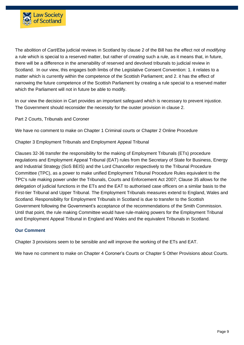

The abolition of *Cart/Eba* judicial reviews in Scotland by clause 2 of the Bill has the effect not of *modifying*  a rule which is special to a reserved matter, but rather of *creating* such a rule, as it means that, in future, there will be a difference in the amenability of reserved and devolved tribunals to judicial review in Scotland. In our view, this engages both limbs of the Legislative Consent Convention: 1. it relates to a matter which is currently within the competence of the Scottish Parliament; and 2. it has the effect of narrowing the future competence of the Scottish Parliament by creating a rule special to a reserved matter which the Parliament will not in future be able to modify.

In our view the decision in Cart provides an important safeguard which is necessary to prevent injustice. The Government should reconsider the necessity for the ouster provision in clause 2.

Part 2 Courts, Tribunals and Coroner

We have no comment to make on Chapter 1 Criminal courts or Chapter 2 Online Procedure

Chapter 3 Employment Tribunals and Employment Appeal Tribunal

Clauses 32-36 transfer the responsibility for the making of Employment Tribunals (ETs) procedure **r**egulations and Employment Appeal Tribunal (EAT) rules from the Secretary of State for Business, Energy and Industrial Strategy (SoS BEIS) and the Lord Chancellor respectively to the Tribunal Procedure Committee (TPC), as a power to make unified Employment Tribunal Procedure Rules equivalent to the TPC's rule making power under the Tribunals, Courts and Enforcement Act 2007; Clause 35 allows for the delegation of judicial functions in the ETs and the EAT to authorised case officers on a similar basis to the First-tier Tribunal and Upper Tribunal. The Employment Tribunals measures extend to England, Wales and Scotland. Responsibility for Employment Tribunals in Scotland is due to transfer to the Scottish Government following the Government's acceptance of the recommendations of the Smith Commission. Until that point, the rule making Committee would have rule-making powers for the Employment Tribunal and Employment Appeal Tribunal in England and Wales and the equivalent Tribunals in Scotland.

#### **Our Comment**

Chapter 3 provisions seem to be sensible and will improve the working of the ETs and EAT.

We have no comment to make on Chapter 4 Coroner's Courts or Chapter 5 Other Provisions about Courts.